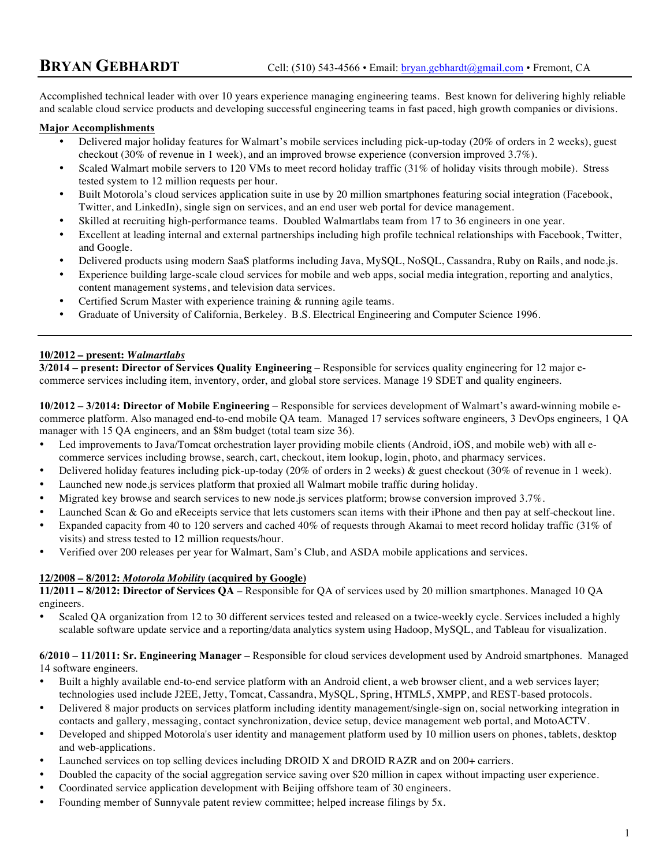Accomplished technical leader with over 10 years experience managing engineering teams. Best known for delivering highly reliable and scalable cloud service products and developing successful engineering teams in fast paced, high growth companies or divisions.

#### **Major Accomplishments**

- Delivered major holiday features for Walmart's mobile services including pick-up-today (20% of orders in 2 weeks), guest checkout (30% of revenue in 1 week), and an improved browse experience (conversion improved 3.7%).
- Scaled Walmart mobile servers to 120 VMs to meet record holiday traffic (31% of holiday visits through mobile). Stress tested system to 12 million requests per hour.
- Built Motorola's cloud services application suite in use by 20 million smartphones featuring social integration (Facebook, Twitter, and LinkedIn), single sign on services, and an end user web portal for device management.
- Skilled at recruiting high-performance teams. Doubled Walmartlabs team from 17 to 36 engineers in one year.
- Excellent at leading internal and external partnerships including high profile technical relationships with Facebook, Twitter, and Google.
- Delivered products using modern SaaS platforms including Java, MySQL, NoSQL, Cassandra, Ruby on Rails, and node.js.
- Experience building large-scale cloud services for mobile and web apps, social media integration, reporting and analytics, content management systems, and television data services.
- Certified Scrum Master with experience training & running agile teams.
- Graduate of University of California, Berkeley. B.S. Electrical Engineering and Computer Science 1996.

# **10/2012 – present:** *Walmartlabs*

**3/2014 – present: Director of Services Quality Engineering** – Responsible for services quality engineering for 12 major ecommerce services including item, inventory, order, and global store services. Manage 19 SDET and quality engineers.

**10/2012 – 3/2014: Director of Mobile Engineering** – Responsible for services development of Walmart's award-winning mobile ecommerce platform. Also managed end-to-end mobile QA team. Managed 17 services software engineers, 3 DevOps engineers, 1 QA manager with 15 QA engineers, and an \$8m budget (total team size 36).

- Led improvements to Java/Tomcat orchestration layer providing mobile clients (Android, iOS, and mobile web) with all ecommerce services including browse, search, cart, checkout, item lookup, login, photo, and pharmacy services.
- Delivered holiday features including pick-up-today (20% of orders in 2 weeks) & guest checkout (30% of revenue in 1 week).
- Launched new node.js services platform that proxied all Walmart mobile traffic during holiday.
- Migrated key browse and search services to new node.js services platform; browse conversion improved 3.7%.
- Launched Scan & Go and eReceipts service that lets customers scan items with their iPhone and then pay at self-checkout line.
- Expanded capacity from 40 to 120 servers and cached 40% of requests through Akamai to meet record holiday traffic (31% of visits) and stress tested to 12 million requests/hour.
- Verified over 200 releases per year for Walmart, Sam's Club, and ASDA mobile applications and services.

# **12/2008 – 8/2012:** *Motorola Mobility* **(acquired by Google)**

**11/2011 – 8/2012: Director of Services QA** – Responsible for QA of services used by 20 million smartphones. Managed 10 QA engineers.

Scaled QA organization from 12 to 30 different services tested and released on a twice-weekly cycle. Services included a highly scalable software update service and a reporting/data analytics system using Hadoop, MySQL, and Tableau for visualization.

#### **6/2010 – 11/2011: Sr. Engineering Manager –** Responsible for cloud services development used by Android smartphones. Managed 14 software engineers.

- Built a highly available end-to-end service platform with an Android client, a web browser client, and a web services layer; technologies used include J2EE, Jetty, Tomcat, Cassandra, MySQL, Spring, HTML5, XMPP, and REST-based protocols.
- Delivered 8 major products on services platform including identity management/single-sign on, social networking integration in contacts and gallery, messaging, contact synchronization, device setup, device management web portal, and MotoACTV.
- Developed and shipped Motorola's user identity and management platform used by 10 million users on phones, tablets, desktop and web-applications.
- Launched services on top selling devices including DROID X and DROID RAZR and on 200+ carriers.
- Doubled the capacity of the social aggregation service saving over \$20 million in capex without impacting user experience.
- Coordinated service application development with Beijing offshore team of 30 engineers.
- Founding member of Sunnyvale patent review committee; helped increase filings by 5x.